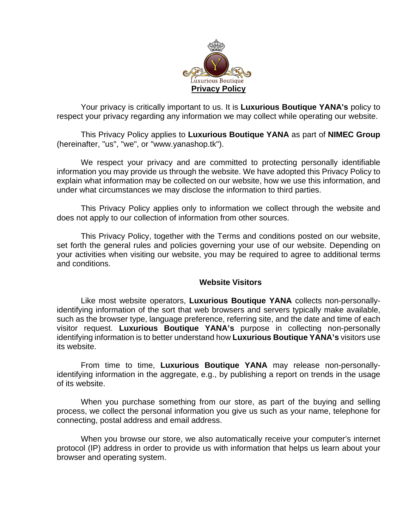

Your privacy is critically important to us. It is **Luxurious Boutique YANA's** policy to respect your privacy regarding any information we may collect while operating our website.

This Privacy Policy applies to **Luxurious Boutique YANA** as part of **NIMEC Group** (hereinafter, "us", "we", or "www.yanashop.tk").

We respect your privacy and are committed to protecting personally identifiable information you may provide us through the website. We have adopted this Privacy Policy to explain what information may be collected on our website, how we use this information, and under what circumstances we may disclose the information to third parties.

This Privacy Policy applies only to information we collect through the website and does not apply to our collection of information from other sources.

This Privacy Policy, together with the Terms and conditions posted on our website, set forth the general rules and policies governing your use of our website. Depending on your activities when visiting our website, you may be required to agree to additional terms and conditions.

## **Website Visitors**

Like most website operators, **Luxurious Boutique YANA** collects non-personallyidentifying information of the sort that web browsers and servers typically make available, such as the browser type, language preference, referring site, and the date and time of each visitor request. **Luxurious Boutique YANA's** purpose in collecting non-personally identifying information is to better understand how **Luxurious Boutique YANA's** visitors use its website.

From time to time, **Luxurious Boutique YANA** may release non-personallyidentifying information in the aggregate, e.g., by publishing a report on trends in the usage of its website.

When you purchase something from our store, as part of the buying and selling process, we collect the personal information you give us such as your name, telephone for connecting, postal address and email address.

When you browse our store, we also automatically receive your computer's internet protocol (IP) address in order to provide us with information that helps us learn about your browser and operating system.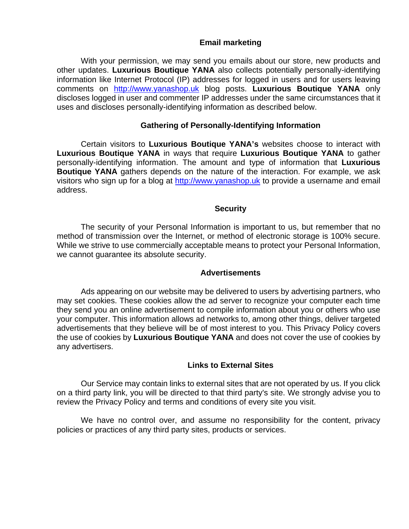# **Email marketing**

With your permission, we may send you emails about our store, new products and other updates. **Luxurious Boutique YANA** also collects potentially personally-identifying information like Internet Protocol (IP) addresses for logged in users and for users leaving comments on [http://www.yanashop.uk](http://www.yanashop.uk/) blog posts. **Luxurious Boutique YANA** only discloses logged in user and commenter IP addresses under the same circumstances that it uses and discloses personally-identifying information as described below.

# **Gathering of Personally-Identifying Information**

Certain visitors to **Luxurious Boutique YANA's** websites choose to interact with **Luxurious Boutique YANA** in ways that require **Luxurious Boutique YANA** to gather personally-identifying information. The amount and type of information that **Luxurious Boutique YANA** gathers depends on the nature of the interaction. For example, we ask visitors who sign up for a blog at [http://www.yanashop.uk](http://www.yanashop.uk/) to provide a username and email address.

## **Security**

The security of your Personal Information is important to us, but remember that no method of transmission over the Internet, or method of electronic storage is 100% secure. While we strive to use commercially acceptable means to protect your Personal Information, we cannot guarantee its absolute security.

#### **Advertisements**

Ads appearing on our website may be delivered to users by advertising partners, who may set cookies. These cookies allow the ad server to recognize your computer each time they send you an online advertisement to compile information about you or others who use your computer. This information allows ad networks to, among other things, deliver targeted advertisements that they believe will be of most interest to you. This Privacy Policy covers the use of cookies by **Luxurious Boutique YANA** and does not cover the use of cookies by any advertisers.

#### **Links to External Sites**

Our Service may contain links to external sites that are not operated by us. If you click on a third party link, you will be directed to that third party's site. We strongly advise you to review the Privacy Policy and terms and conditions of every site you visit.

We have no control over, and assume no responsibility for the content, privacy policies or practices of any third party sites, products or services.